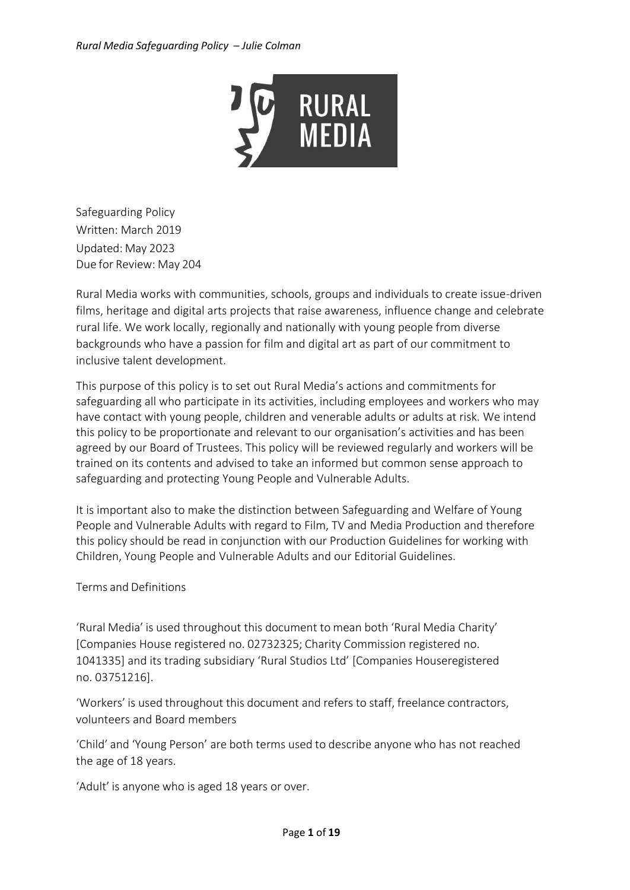

Safeguarding Policy Written: March 2019 Updated: May 2023 Due for Review: May 204

Rural Media works with communities, schools, groups and individuals to create issue-driven films, heritage and digital arts projects that raise awareness, influence change and celebrate rural life. We work locally, regionally and nationally with young people from diverse backgrounds who have a passion for film and digital art as part of our commitment to inclusive talent development.

This purpose of this policy is to set out Rural Media's actions and commitments for safeguarding all who participate in its activities, including employees and workers who may have contact with young people, children and venerable adults or adults at risk. We intend this policy to be proportionate and relevant to our organisation's activities and has been agreed by our Board of Trustees. This policy will be reviewed regularly and workers will be trained on its contents and advised to take an informed but common sense approach to safeguarding and protecting Young People and Vulnerable Adults.

It is important also to make the distinction between Safeguarding and Welfare of Young People and Vulnerable Adults with regard to Film, TV and Media Production and therefore this policy should be read in conjunction with our Production Guidelines for working with Children, Young People and Vulnerable Adults and our Editorial Guidelines.

# Terms and Definitions

'Rural Media' is used throughout this document to mean both 'Rural Media Charity' [Companies House registered no. 02732325; Charity Commission registered no. 1041335] and its trading subsidiary 'Rural Studios Ltd' [Companies Houseregistered no. 03751216].

'Workers' is used throughout this document and refers to staff, freelance contractors, volunteers and Board members

'Child' and 'Young Person' are both terms used to describe anyone who has not reached the age of 18 years.

'Adult' is anyone who is aged 18 years or over.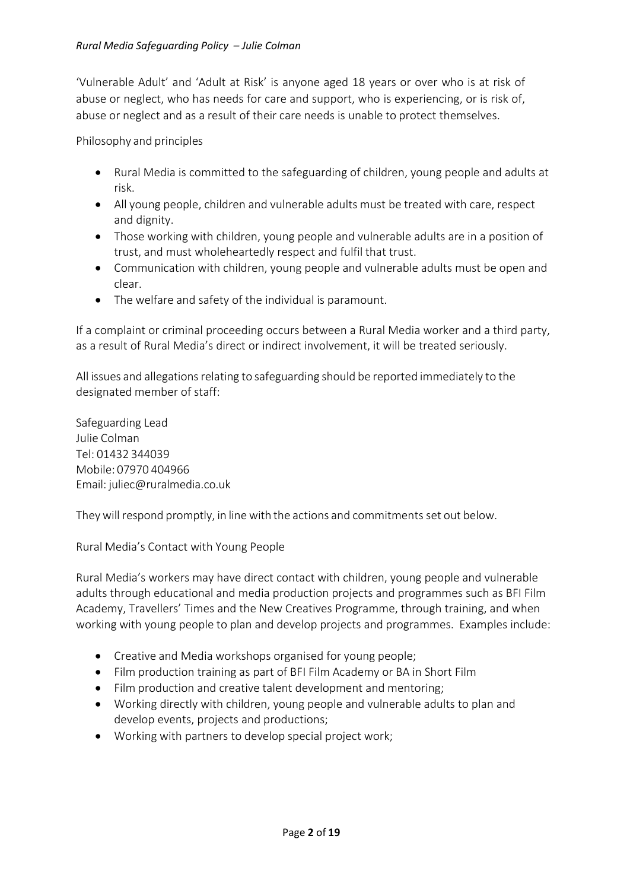'Vulnerable Adult' and 'Adult at Risk' is anyone aged 18 years or over who is at risk of abuse or neglect, who has needs for care and support, who is experiencing, or is risk of, abuse or neglect and as a result of their care needs is unable to protect themselves.

Philosophy and principles

- Rural Media is committed to the safeguarding of children, young people and adults at risk.
- All young people, children and vulnerable adults must be treated with care, respect and dignity.
- Those working with children, young people and vulnerable adults are in a position of trust, and must wholeheartedly respect and fulfil that trust.
- Communication with children, young people and vulnerable adults must be open and clear.
- The welfare and safety of the individual is paramount.

If a complaint or criminal proceeding occurs between a Rural Media worker and a third party, as a result of Rural Media's direct or indirect involvement, it will be treated seriously.

All issues and allegations relating to safeguarding should be reported immediately to the designated member of staff:

Safeguarding Lead Julie Colman Tel: 01432 344039 Mobile: 07970 404966 Email: [juliec@ruralmedia.co.uk](mailto:juliec@ruralmedia.co.uk)

Theywill respond promptly, in line with the actions and commitments set out below.

Rural Media's Contact with Young People

Rural Media's workers may have direct contact with children, young people and vulnerable adults through educational and media production projects and programmes such as BFI Film Academy, Travellers' Times and the New Creatives Programme, through training, and when working with young people to plan and develop projects and programmes. Examples include:

- Creative and Media workshops organised for young people;
- Film production training as part of BFI Film Academy or BA in Short Film
- Film production and creative talent development and mentoring;
- Working directly with children, young people and vulnerable adults to plan and develop events, projects and productions;
- Working with partners to develop special project work;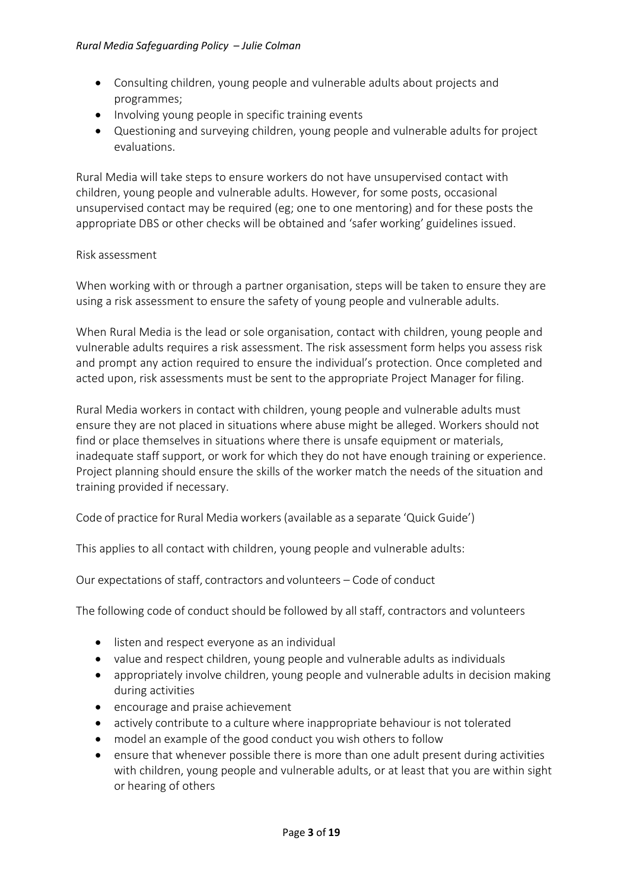- Consulting children, young people and vulnerable adults about projects and programmes;
- Involving young people in specific training events
- Questioning and surveying children, young people and vulnerable adults for project evaluations.

Rural Media will take steps to ensure workers do not have unsupervised contact with children, young people and vulnerable adults. However, for some posts, occasional unsupervised contact may be required (eg; one to one mentoring) and for these posts the appropriate DBS or other checks will be obtained and 'safer working' guidelines issued.

# Risk assessment

When working with or through a partner organisation, steps will be taken to ensure they are using a risk assessment to ensure the safety of young people and vulnerable adults.

When Rural Media is the lead or sole organisation, contact with children, young people and vulnerable adults requires a risk assessment. The risk assessment form helps you assess risk and prompt any action required to ensure the individual's protection. Once completed and acted upon, risk assessments must be sent to the appropriate Project Manager for filing.

Rural Media workers in contact with children, young people and vulnerable adults must ensure they are not placed in situations where abuse might be alleged. Workers should not find or place themselves in situations where there is unsafe equipment or materials, inadequate staff support, or work for which they do not have enough training or experience. Project planning should ensure the skills of the worker match the needs of the situation and training provided if necessary.

Code of practice for Rural Media workers (available as a separate 'Quick Guide')

This applies to all contact with children, young people and vulnerable adults:

Our expectations of staff, contractors and volunteers – Code of conduct

The following code of conduct should be followed by all staff, contractors and volunteers

- listen and respect everyone as an individual
- value and respect children, young people and vulnerable adults as individuals
- appropriately involve children, young people and vulnerable adults in decision making during activities
- encourage and praise achievement
- actively contribute to a culture where inappropriate behaviour is not tolerated
- model an example of the good conduct you wish others to follow
- ensure that whenever possible there is more than one adult present during activities with children, young people and vulnerable adults, or at least that you are within sight or hearing of others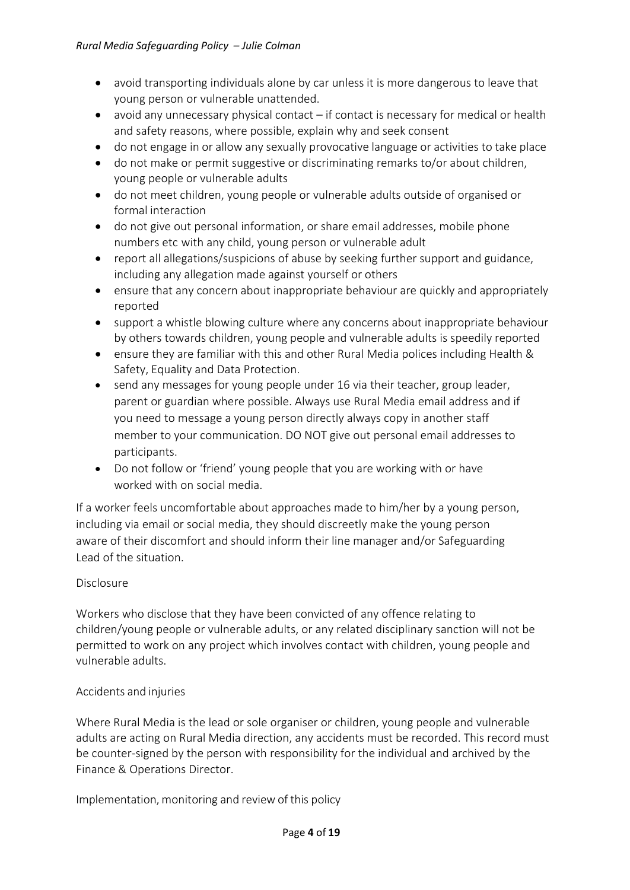- avoid transporting individuals alone by car unless it is more dangerous to leave that young person or vulnerable unattended.
- avoid any unnecessary physical contact if contact is necessary for medical or health and safety reasons, where possible, explain why and seek consent
- do not engage in or allow any sexually provocative language or activities to take place
- do not make or permit suggestive or discriminating remarks to/or about children, young people or vulnerable adults
- do not meet children, young people or vulnerable adults outside of organised or formal interaction
- do not give out personal information, or share email addresses, mobile phone numbers etc with any child, young person or vulnerable adult
- report all allegations/suspicions of abuse by seeking further support and guidance, including any allegation made against yourself or others
- ensure that any concern about inappropriate behaviour are quickly and appropriately reported
- support a whistle blowing culture where any concerns about inappropriate behaviour by others towards children, young people and vulnerable adults is speedily reported
- ensure they are familiar with this and other Rural Media polices including Health & Safety, Equality and Data Protection.
- send any messages for young people under 16 via their teacher, group leader, parent or guardian where possible. Always use Rural Media email address and if you need to message a young person directly always copy in another staff member to your communication. DO NOT give out personal email addresses to participants.
- Do not follow or 'friend' young people that you are working with or have worked with on social media.

If a worker feels uncomfortable about approaches made to him/her by a young person, including via email or social media, they should discreetly make the young person aware of their discomfort and should inform their line manager and/or Safeguarding Lead of the situation.

# Disclosure

Workers who disclose that they have been convicted of any offence relating to children/young people or vulnerable adults, or any related disciplinary sanction will not be permitted to work on any project which involves contact with children, young people and vulnerable adults.

# Accidents and injuries

Where Rural Media is the lead or sole organiser or children, young people and vulnerable adults are acting on Rural Media direction, any accidents must be recorded. This record must be counter-signed by the person with responsibility for the individual and archived by the Finance & Operations Director.

Implementation, monitoring and review of this policy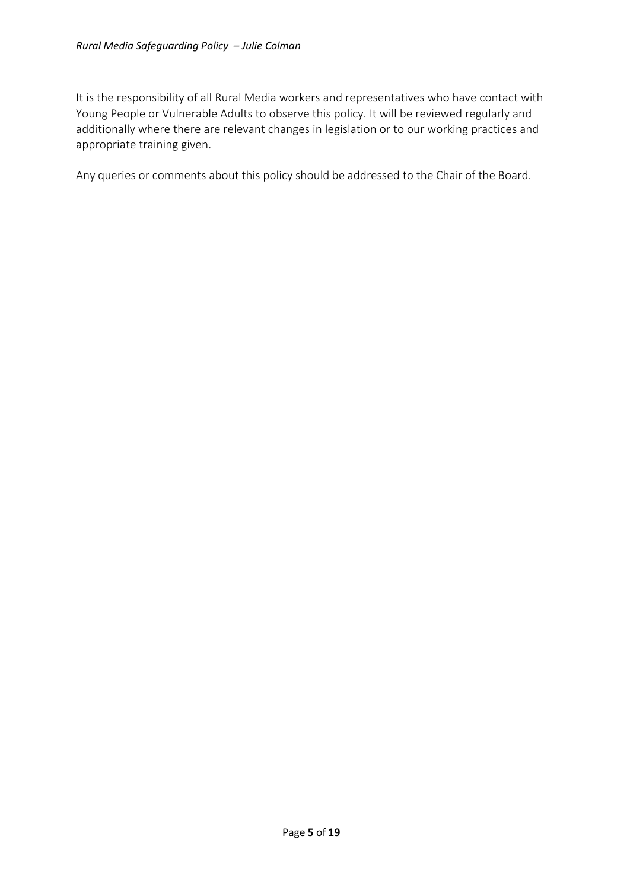It is the responsibility of all Rural Media workers and representatives who have contact with Young People or Vulnerable Adults to observe this policy. It will be reviewed regularly and additionally where there are relevant changes in legislation or to our working practices and appropriate training given.

Any queries or comments about this policy should be addressed to the Chair of the Board.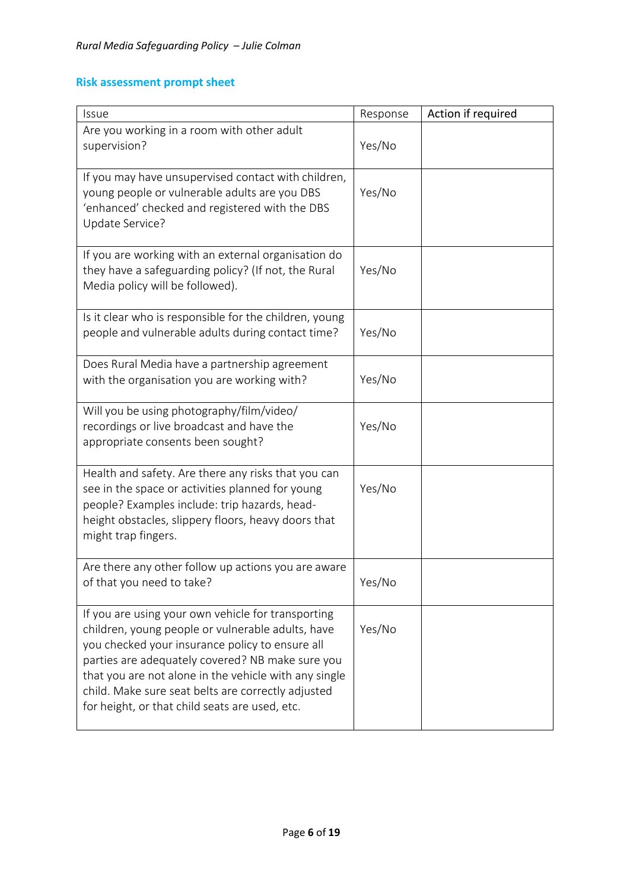# **Risk assessment prompt sheet**

| Issue                                                                                                                                                                                                                                                                                                                                                                           | Response | Action if required |
|---------------------------------------------------------------------------------------------------------------------------------------------------------------------------------------------------------------------------------------------------------------------------------------------------------------------------------------------------------------------------------|----------|--------------------|
| Are you working in a room with other adult<br>supervision?                                                                                                                                                                                                                                                                                                                      | Yes/No   |                    |
| If you may have unsupervised contact with children,<br>young people or vulnerable adults are you DBS<br>'enhanced' checked and registered with the DBS<br>Update Service?                                                                                                                                                                                                       | Yes/No   |                    |
| If you are working with an external organisation do<br>they have a safeguarding policy? (If not, the Rural<br>Media policy will be followed).                                                                                                                                                                                                                                   | Yes/No   |                    |
| Is it clear who is responsible for the children, young<br>people and vulnerable adults during contact time?                                                                                                                                                                                                                                                                     | Yes/No   |                    |
| Does Rural Media have a partnership agreement<br>with the organisation you are working with?                                                                                                                                                                                                                                                                                    | Yes/No   |                    |
| Will you be using photography/film/video/<br>recordings or live broadcast and have the<br>appropriate consents been sought?                                                                                                                                                                                                                                                     | Yes/No   |                    |
| Health and safety. Are there any risks that you can<br>see in the space or activities planned for young<br>people? Examples include: trip hazards, head-<br>height obstacles, slippery floors, heavy doors that<br>might trap fingers.                                                                                                                                          | Yes/No   |                    |
| Are there any other follow up actions you are aware<br>of that you need to take?                                                                                                                                                                                                                                                                                                | Yes/No   |                    |
| If you are using your own vehicle for transporting<br>children, young people or vulnerable adults, have<br>you checked your insurance policy to ensure all<br>parties are adequately covered? NB make sure you<br>that you are not alone in the vehicle with any single<br>child. Make sure seat belts are correctly adjusted<br>for height, or that child seats are used, etc. | Yes/No   |                    |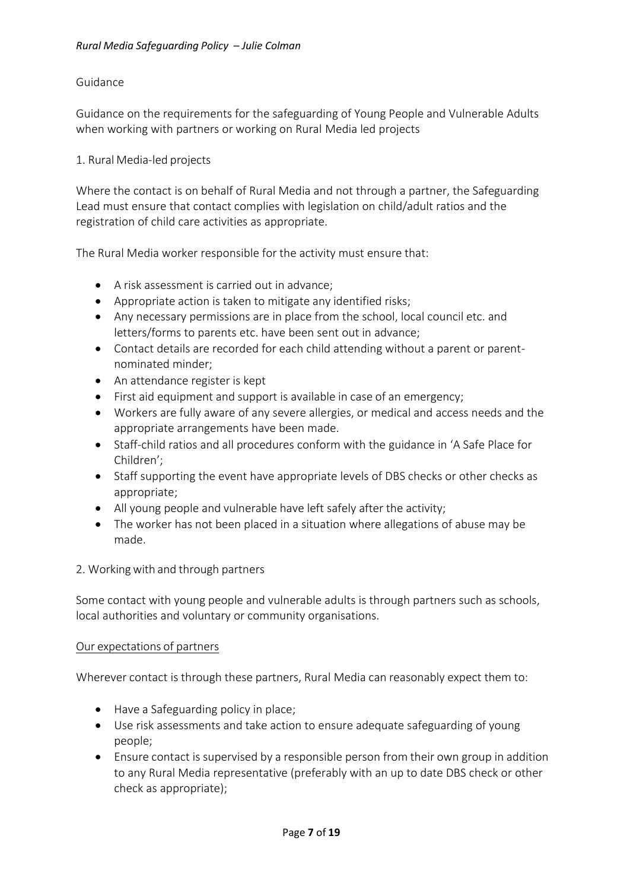### Guidance

Guidance on the requirements for the safeguarding of Young People and Vulnerable Adults when working with partners or working on Rural Media led projects

### 1. Rural Media-led projects

Where the contact is on behalf of Rural Media and not through a partner, the Safeguarding Lead must ensure that contact complies with legislation on child/adult ratios and the registration of child care activities as appropriate.

The Rural Media worker responsible for the activity must ensure that:

- A risk assessment is carried out in advance;
- Appropriate action is taken to mitigate any identified risks;
- Any necessary permissions are in place from the school, local council etc. and letters/forms to parents etc. have been sent out in advance;
- Contact details are recorded for each child attending without a parent or parentnominated minder;
- An attendance register is kept
- First aid equipment and support is available in case of an emergency;
- Workers are fully aware of any severe allergies, or medical and access needs and the appropriate arrangements have been made.
- Staff-child ratios and all procedures conform with the guidance in 'A Safe Place for Children';
- Staff supporting the event have appropriate levels of DBS checks or other checks as appropriate;
- All young people and vulnerable have left safely after the activity;
- The worker has not been placed in a situation where allegations of abuse may be made.

#### 2. Working with and through partners

Some contact with young people and vulnerable adults is through partners such as schools, local authorities and voluntary or community organisations.

#### Our expectations of partners

Wherever contact is through these partners, Rural Media can reasonably expect them to:

- Have a Safeguarding policy in place;
- Use risk assessments and take action to ensure adequate safeguarding of young people;
- Ensure contact is supervised by a responsible person from their own group in addition to any Rural Media representative (preferably with an up to date DBS check or other check as appropriate);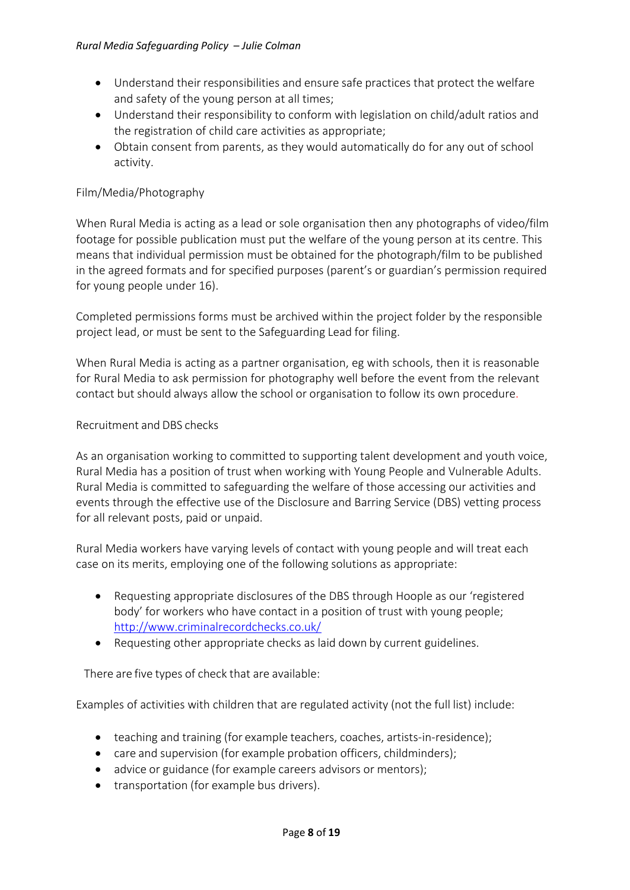- Understand their responsibilities and ensure safe practices that protect the welfare and safety of the young person at all times;
- Understand their responsibility to conform with legislation on child/adult ratios and the registration of child care activities as appropriate;
- Obtain consent from parents, as they would automatically do for any out of school activity.

# Film/Media/Photography

When Rural Media is acting as a lead or sole organisation then any photographs of video/film footage for possible publication must put the welfare of the young person at its centre. This means that individual permission must be obtained for the photograph/film to be published in the agreed formats and for specified purposes (parent's or guardian's permission required for young people under 16).

Completed permissions forms must be archived within the project folder by the responsible project lead, or must be sent to the Safeguarding Lead for filing.

When Rural Media is acting as a partner organisation, eg with schools, then it is reasonable for Rural Media to ask permission for photography well before the event from the relevant contact but should always allow the school or organisation to follow its own procedure.

### Recruitment and DBS checks

As an organisation working to committed to supporting talent development and youth voice, Rural Media has a position of trust when working with Young People and Vulnerable Adults. Rural Media is committed to safeguarding the welfare of those accessing our activities and events through the effective use of the Disclosure and Barring Service (DBS) vetting process for all relevant posts, paid or unpaid.

Rural Media workers have varying levels of contact with young people and will treat each case on its merits, employing one of the following solutions as appropriate:

- Requesting appropriate disclosures of the DBS through Hoople as our 'registered body' for workers who have contact in a position of trust with young people; <http://www.criminalrecordchecks.co.uk/>
- Requesting other appropriate checks as laid down by current guidelines.

There are five types of check that are available:

Examples of activities with children that are regulated activity (not the full list) include:

- teaching and training (for example teachers, coaches, artists-in-residence);
- care and supervision (for example probation officers, childminders);
- advice or guidance (for example careers advisors or mentors);
- transportation (for example bus drivers).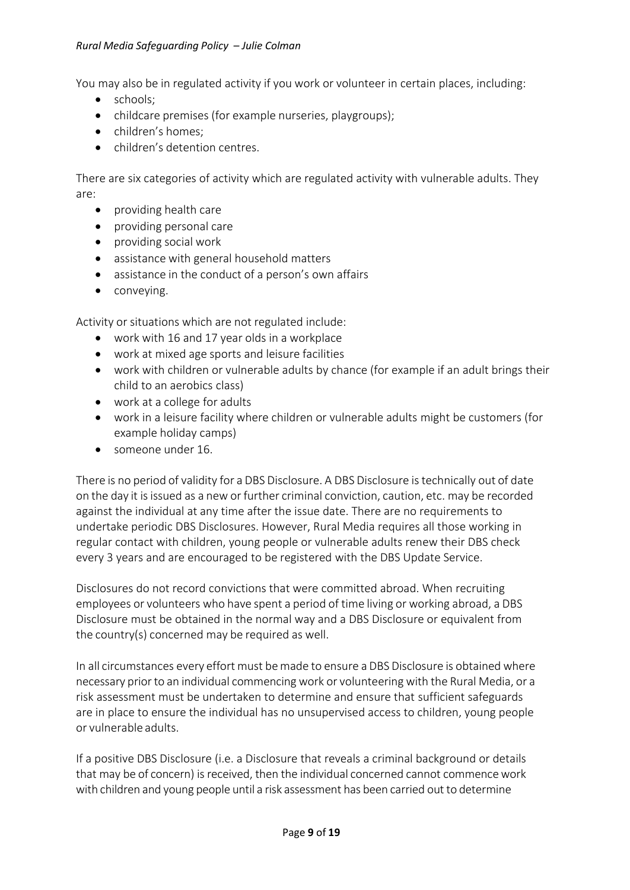#### *Rural Media Safeguarding Policy – Julie Colman*

You may also be in regulated activity if you work or volunteer in certain places, including:

- schools;
- childcare premises (for example nurseries, playgroups);
- children's homes;
- children's detention centres.

There are six categories of activity which are regulated activity with vulnerable adults. They are:

- providing health care
- providing personal care
- providing social work
- assistance with general household matters
- assistance in the conduct of a person's own affairs
- conveying.

Activity or situations which are not regulated include:

- work with 16 and 17 year olds in a workplace
- work at mixed age sports and leisure facilities
- work with children or vulnerable adults by chance (for example if an adult brings their child to an aerobics class)
- work at a college for adults
- work in a leisure facility where children or vulnerable adults might be customers (for example holiday camps)
- someone under 16.

There is no period of validity for a DBS Disclosure. A DBS Disclosure istechnically out of date on the day it isissued as a new or further criminal conviction, caution, etc. may be recorded against the individual at any time after the issue date. There are no requirements to undertake periodic DBS Disclosures. However, Rural Media requires all those working in regular contact with children, young people or vulnerable adults renew their DBS check every 3 years and are encouraged to be registered with the DBS Update Service.

Disclosures do not record convictions that were committed abroad. When recruiting employees or volunteers who have spent a period of time living or working abroad, a DBS Disclosure must be obtained in the normal way and a DBS Disclosure or equivalent from the country(s) concerned may be required as well.

In all circumstances every effort must bemade to ensure a DBS Disclosure is obtained where necessary priorto an individual commencing work or volunteering with the Rural Media, or a risk assessment must be undertaken to determine and ensure that sufficient safeguards are in place to ensure the individual has no unsupervised access to children, young people or vulnerable adults.

If a positive DBS Disclosure (i.e. a Disclosure that reveals a criminal background or details that may be of concern) is received, then the individual concerned cannot commencework with children and young people until a risk assessment has been carried out to determine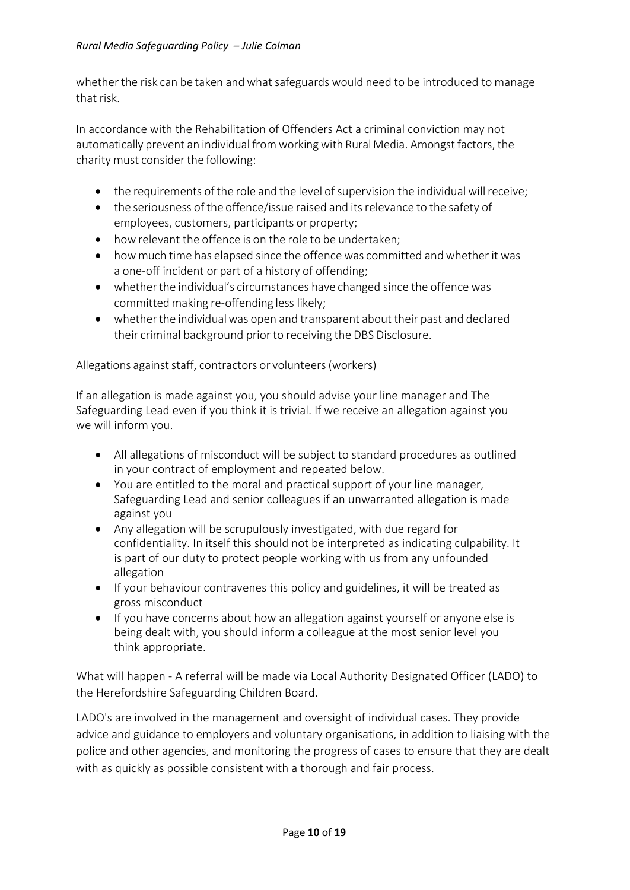whether the risk can be taken and what safeguards would need to be introduced to manage that risk.

In accordance with the Rehabilitation of Offenders Act a criminal conviction may not automatically prevent an individual from working with Rural Media. Amongst factors, the charity must consider the following:

- the requirements of the role and the level of supervision the individual will receive;
- the seriousness of the offence/issue raised and its relevance to the safety of employees, customers, participants or property;
- howrelevant the offence is on the role to be undertaken;
- how much time has elapsed since the offence was committed and whether it was a one-off incident or part of a history of offending;
- whether the individual's circumstances have changed since the offence was committed making re-offending less likely;
- whether the individual was open and transparent about their past and declared their criminal background prior to receiving the DBS Disclosure.

Allegations against staff, contractors or volunteers (workers)

If an allegation is made against you, you should advise your line manager and The Safeguarding Lead even if you think it is trivial. If we receive an allegation against you we will inform you.

- All allegations of misconduct will be subject to standard procedures as outlined in your contract of employment and repeated below.
- You are entitled to the moral and practical support of your line manager, Safeguarding Lead and senior colleagues if an unwarranted allegation is made against you
- Any allegation will be scrupulously investigated, with due regard for confidentiality. In itself this should not be interpreted as indicating culpability. It is part of our duty to protect people working with us from any unfounded allegation
- If your behaviour contravenes this policy and guidelines, it will be treated as gross misconduct
- If you have concerns about how an allegation against yourself or anyone else is being dealt with, you should inform a colleague at the most senior level you think appropriate.

What will happen - A referral will be made via Local Authority Designated Officer (LADO) to the Herefordshire Safeguarding Children Board.

LADO's are involved in the management and oversight of individual cases. They provide advice and guidance to employers and voluntary organisations, in addition to liaising with the police and other agencies, and monitoring the progress of cases to ensure that they are dealt with as quickly as possible consistent with a thorough and fair process.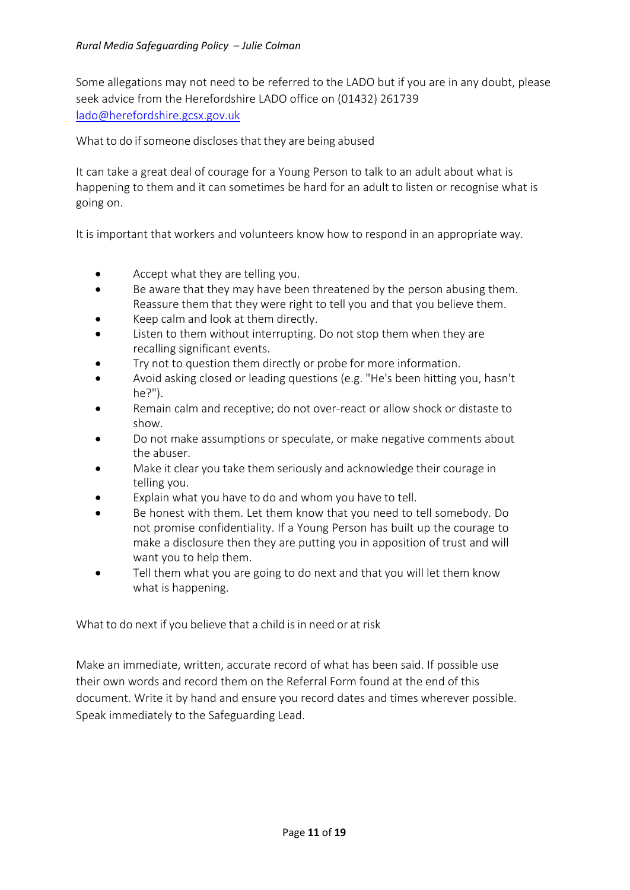Some allegations may not need to be referred to the LADO but if you are in any doubt, please seek advice from the Herefordshire LADO office on (01432) 261739 [lado@herefordshire.gcsx.gov.uk](mailto:lado@herefordshire.gcsx.gov.uk)

What to do if someone discloses that they are being abused

It can take a great deal of courage for a Young Person to talk to an adult about what is happening to them and it can sometimes be hard for an adult to listen or recognise what is going on.

It is important that workers and volunteers know how to respond in an appropriate way.

- Accept what they are telling you.
- Be aware that they may have been threatened by the person abusing them. Reassure them that they were right to tell you and that you believe them.
- Keep calm and look at them directly.
- Listen to them without interrupting. Do not stop them when they are recalling significant events.
- Try not to question them directly or probe for more information.
- Avoid asking closed or leading questions (e.g. "He's been hitting you, hasn't he?").
- Remain calm and receptive; do not over-react or allow shock or distaste to show.
- Do not make assumptions or speculate, or make negative comments about the abuser.
- Make it clear you take them seriously and acknowledge their courage in telling you.
- Explain what you have to do and whom you have to tell.
- Be honest with them. Let them know that you need to tell somebody. Do not promise confidentiality. If a Young Person has built up the courage to make a disclosure then they are putting you in apposition of trust and will want you to help them.
- Tell them what you are going to do next and that you will let them know what is happening.

What to do next if you believe that a child is in need or at risk

Make an immediate, written, accurate record of what has been said. If possible use their own words and record them on the Referral Form found at the end of this document. Write it by hand and ensure you record dates and times wherever possible. Speak immediately to the Safeguarding Lead.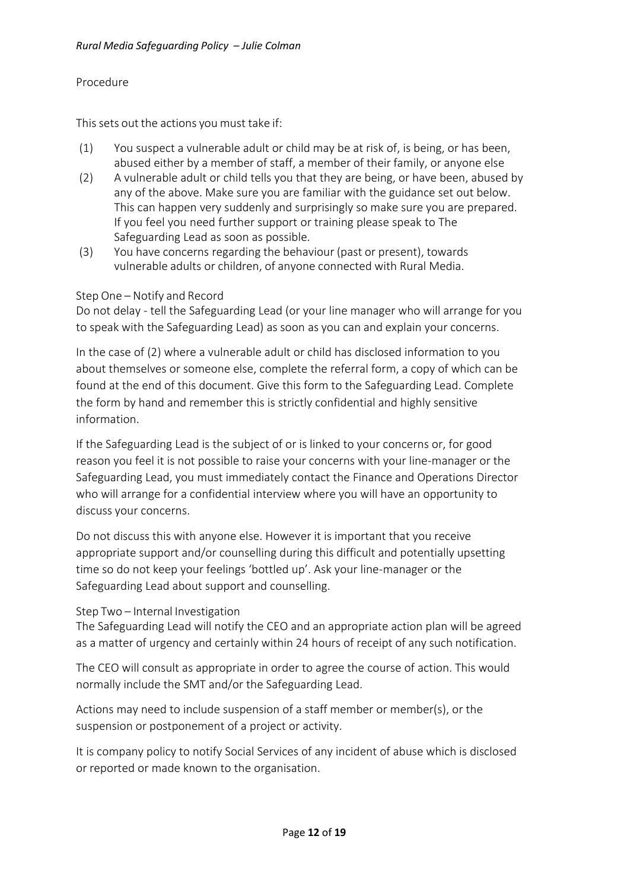# Procedure

This sets out the actions you must take if:

- (1) You suspect a vulnerable adult or child may be at risk of, is being, or has been, abused either by a member of staff, a member of their family, or anyone else
- (2) A vulnerable adult or child tells you that they are being, or have been, abused by any of the above. Make sure you are familiar with the guidance set out below. This can happen very suddenly and surprisingly so make sure you are prepared. If you feel you need further support or training please speak to The Safeguarding Lead as soon as possible.
- (3) You have concerns regarding the behaviour (past or present), towards vulnerable adults or children, of anyone connected with Rural Media.

# Step One – Notify and Record

Do not delay - tell the Safeguarding Lead (or your line manager who will arrange for you to speak with the Safeguarding Lead) as soon as you can and explain your concerns.

In the case of (2) where a vulnerable adult or child has disclosed information to you about themselves or someone else, complete the referral form, a copy of which can be found at the end of this document. Give this form to the Safeguarding Lead. Complete the form by hand and remember this is strictly confidential and highly sensitive information.

If the Safeguarding Lead is the subject of or is linked to your concerns or, for good reason you feel it is not possible to raise your concerns with your line-manager or the Safeguarding Lead, you must immediately contact the Finance and Operations Director who will arrange for a confidential interview where you will have an opportunity to discuss your concerns.

Do not discuss this with anyone else. However it is important that you receive appropriate support and/or counselling during this difficult and potentially upsetting time so do not keep your feelings 'bottled up'. Ask your line-manager or the Safeguarding Lead about support and counselling.

# Step Two – Internal Investigation

The Safeguarding Lead will notify the CEO and an appropriate action plan will be agreed as a matter of urgency and certainly within 24 hours of receipt of any such notification.

The CEO will consult as appropriate in order to agree the course of action. This would normally include the SMT and/or the Safeguarding Lead.

Actions may need to include suspension of a staff member or member(s), or the suspension or postponement of a project or activity.

It is company policy to notify Social Services of any incident of abuse which is disclosed or reported or made known to the organisation.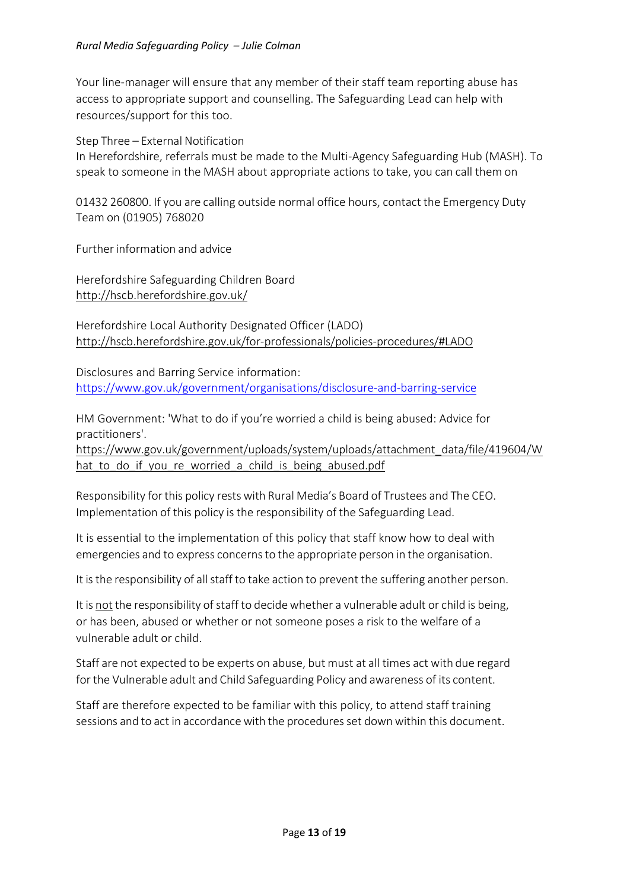Your line-manager will ensure that any member of their staff team reporting abuse has access to appropriate support and counselling. The Safeguarding Lead can help with resources/support for this too.

Step Three – External Notification

In Herefordshire, referrals must be made to the Multi-Agency Safeguarding Hub (MASH). To speak to someone in the MASH about appropriate actions to take, you can call them on

01432 260800. If you are calling outside normal office hours, contact the Emergency Duty Team on (01905) 768020

Further information and advice

Herefordshire Safeguarding Children Board <http://hscb.herefordshire.gov.uk/>

Herefordshire Local Authority Designated Officer (LADO) <http://hscb.herefordshire.gov.uk/for-professionals/policies-procedures/#LADO>

Disclosures and Barring Service information: <https://www.gov.uk/government/organisations/disclosure-and-barring-service>

HM Government: 'What to do if you're worried a child is being abused: Advice for practitioners'.

[https://www.gov.uk/government/uploads/system/uploads/attachment\\_data/file/419604/W](https://www.gov.uk/government/uploads/system/uploads/attachment_data/file/419604/What_to_do_if_you_re_worried_a_child_is_being_abused.pdf) hat to do if you re worried a child is being abused.pdf

Responsibility forthis policy rests with Rural Media's Board of Trustees and The CEO. Implementation of this policy isthe responsibility of the Safeguarding Lead.

It is essential to the implementation of this policy that staff know how to deal with emergencies and to express concernsto the appropriate person in the organisation.

It is the responsibility of all staff to take action to prevent the suffering another person.

It is not the responsibility of staff to decide whether a vulnerable adult or child is being, or has been, abused or whether or not someone poses a risk to the welfare of a vulnerable adult or child.

Staff are not expected to be experts on abuse, but must at all times act with due regard for the Vulnerable adult and Child Safeguarding Policy and awareness of its content.

Staff are therefore expected to be familiar with this policy, to attend staff training sessions and to act in accordance with the procedures set down within this document.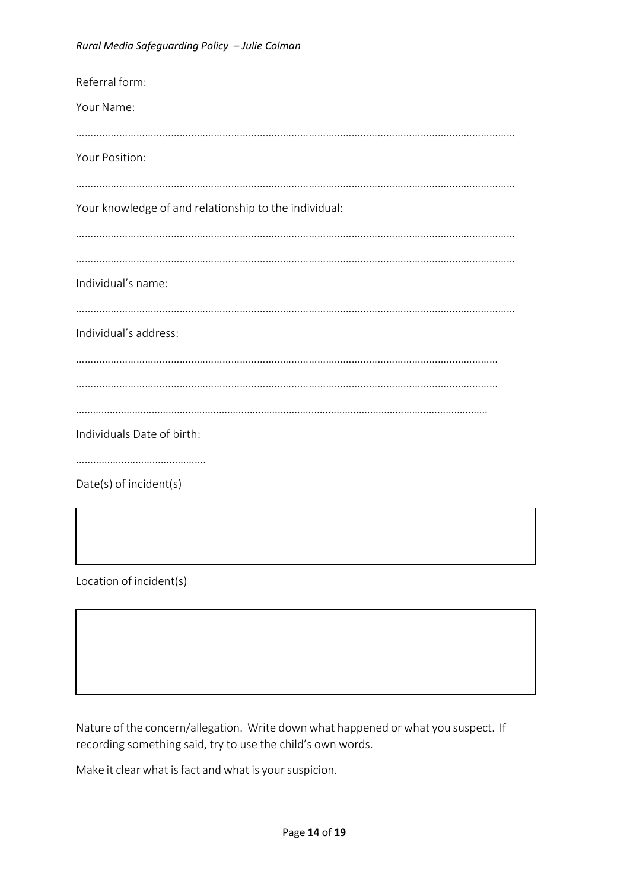| Referral form:                                        |
|-------------------------------------------------------|
| Your Name:                                            |
|                                                       |
| Your Position:                                        |
|                                                       |
| Your knowledge of and relationship to the individual: |
|                                                       |
|                                                       |
| Individual's name:                                    |
|                                                       |
| Individual's address:                                 |
|                                                       |
|                                                       |
|                                                       |
|                                                       |
| Individuals Date of birth:                            |
|                                                       |
| Date(s) of incident(s)                                |

Location of incident(s)

Nature of the concern/allegation. Write down what happened or what you suspect. If recording something said, try to use the child's own words.

Make it clear what is fact and what is your suspicion.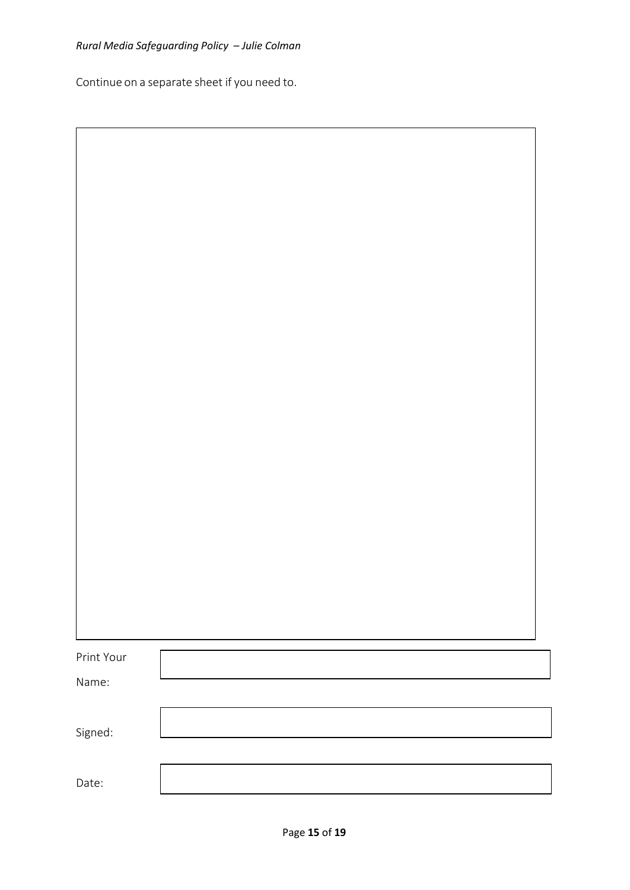Continue on a separate sheet if you need to.

| Print Your |  |  |
|------------|--|--|
| Name:      |  |  |
| Signed:    |  |  |
|            |  |  |
| Date:      |  |  |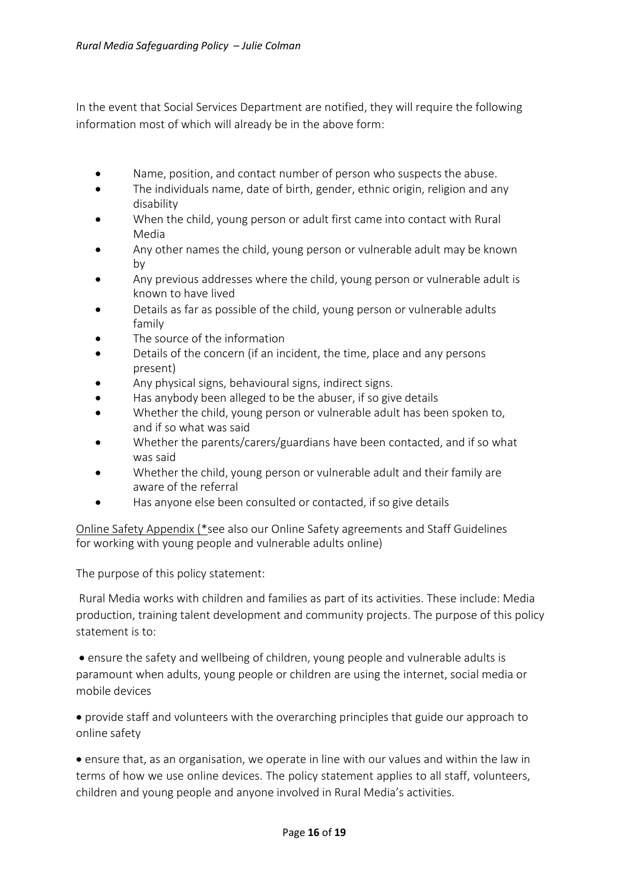In the event that Social Services Department are notified, they will require the following information most of which will already be in the above form:

- Name, position, and contact number of person who suspects the abuse.
- The individuals name, date of birth, gender, ethnic origin, religion and any disability
- When the child, young person or adult first came into contact with Rural Media
- Any other names the child, young person or vulnerable adult may be known by
- Any previous addresses where the child, young person or vulnerable adult is known to have lived
- Details as far as possible of the child, young person or vulnerable adults family
- The source of the information
- Details of the concern (if an incident, the time, place and any persons present)
- Any physical signs, behavioural signs, indirect signs.
- Has anybody been alleged to be the abuser, if so give details
- Whether the child, young person or vulnerable adult has been spoken to, and if so what was said
- Whether the parents/carers/guardians have been contacted, and if so what was said
- Whether the child, young person or vulnerable adult and their family are aware of the referral
- Has anyone else been consulted or contacted, if so give details

Online Safety Appendix (\*see also our Online Safety agreements and Staff Guidelines for working with young people and vulnerable adults online)

The purpose of this policy statement:

Rural Media works with children and families as part of its activities. These include: Media production, training talent development and community projects. The purpose of this policy statement is to:

• ensure the safety and wellbeing of children, young people and vulnerable adults is paramount when adults, young people or children are using the internet, social media or mobile devices

 provide staff and volunteers with the overarching principles that guide our approach to online safety

 ensure that, as an organisation, we operate in line with our values and within the law in terms of how we use online devices. The policy statement applies to all staff, volunteers, children and young people and anyone involved in Rural Media's activities.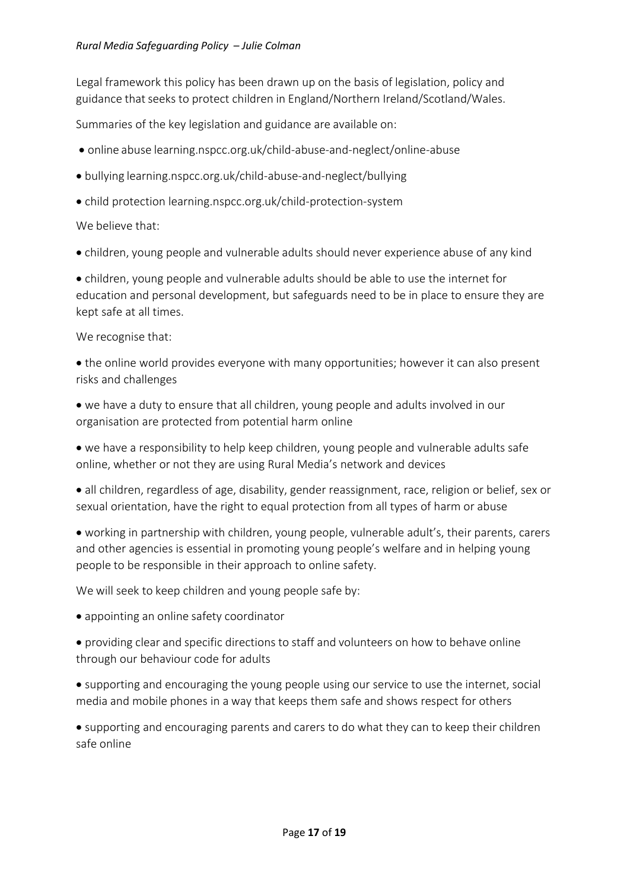Legal framework this policy has been drawn up on the basis of legislation, policy and guidance that seeks to protect children in England/Northern Ireland/Scotland/Wales.

Summaries of the key legislation and guidance are available on:

- online abuse learning.nspcc.org.uk/child-abuse-and-neglect/online-abuse
- bullying learning.nspcc.org.uk/child-abuse-and-neglect/bullying
- child protection learning.nspcc.org.uk/child-protection-system

We believe that:

children, young people and vulnerable adults should never experience abuse of any kind

 children, young people and vulnerable adults should be able to use the internet for education and personal development, but safeguards need to be in place to ensure they are kept safe at all times.

We recognise that:

 the online world provides everyone with many opportunities; however it can also present risks and challenges

- we have a duty to ensure that all children, young people and adults involved in our organisation are protected from potential harm online
- we have a responsibility to help keep children, young people and vulnerable adults safe online, whether or not they are using Rural Media's network and devices

 all children, regardless of age, disability, gender reassignment, race, religion or belief, sex or sexual orientation, have the right to equal protection from all types of harm or abuse

 working in partnership with children, young people, vulnerable adult's, their parents, carers and other agencies is essential in promoting young people's welfare and in helping young people to be responsible in their approach to online safety.

We will seek to keep children and young people safe by:

- appointing an online safety coordinator
- providing clear and specific directions to staff and volunteers on how to behave online through our behaviour code for adults
- supporting and encouraging the young people using our service to use the internet, social media and mobile phones in a way that keeps them safe and shows respect for others

 supporting and encouraging parents and carers to do what they can to keep their children safe online